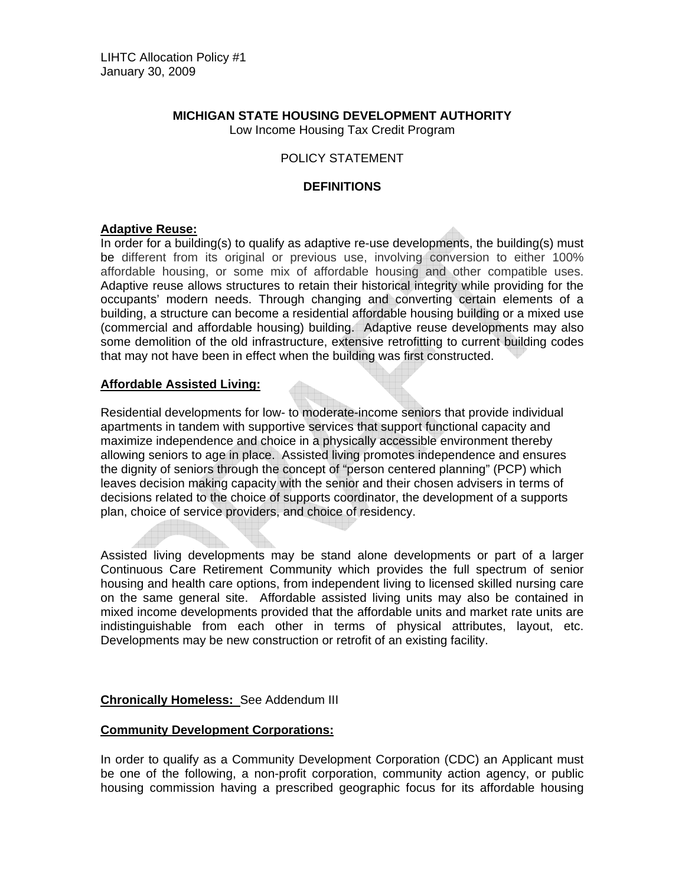# **MICHIGAN STATE HOUSING DEVELOPMENT AUTHORITY**

Low Income Housing Tax Credit Program

# POLICY STATEMENT

## **DEFINITIONS**

## **Adaptive Reuse:**

In order for a building(s) to qualify as adaptive re-use developments, the building(s) must be different from its original or previous use, involving conversion to either 100% affordable housing, or some mix of affordable housing and other compatible uses. Adaptive reuse allows structures to retain their historical integrity while providing for the occupants' modern needs. Through changing and converting certain elements of a building, a structure can become a residential affordable housing building or a mixed use (commercial and affordable housing) building. Adaptive reuse developments may also some demolition of the old infrastructure, extensive retrofitting to current building codes that may not have been in effect when the building was first constructed.

## **Affordable Assisted Living:**

Residential developments for low- to moderate-income seniors that provide individual apartments in tandem with supportive services that support functional capacity and maximize independence and choice in a physically accessible environment thereby allowing seniors to age in place. Assisted living promotes independence and ensures the dignity of seniors through the concept of "person centered planning" (PCP) which leaves decision making capacity with the senior and their chosen advisers in terms of decisions related to the choice of supports coordinator, the development of a supports plan, choice of service providers, and choice of residency.

Assisted living developments may be stand alone developments or part of a larger Continuous Care Retirement Community which provides the full spectrum of senior housing and health care options, from independent living to licensed skilled nursing care on the same general site. Affordable assisted living units may also be contained in mixed income developments provided that the affordable units and market rate units are indistinguishable from each other in terms of physical attributes, layout, etc. Developments may be new construction or retrofit of an existing facility.

## **Chronically Homeless:** See Addendum III

#### **Community Development Corporations:**

In order to qualify as a Community Development Corporation (CDC) an Applicant must be one of the following, a non-profit corporation, community action agency, or public housing commission having a prescribed geographic focus for its affordable housing